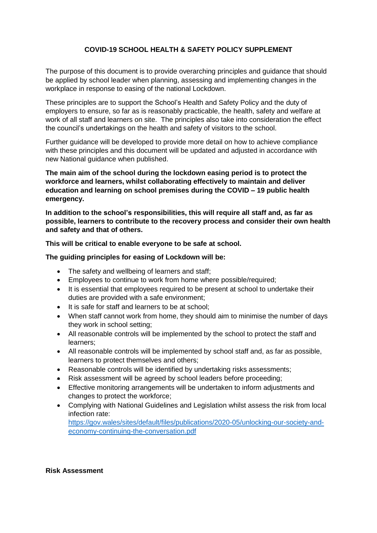# **COVID-19 SCHOOL HEALTH & SAFETY POLICY SUPPLEMENT**

The purpose of this document is to provide overarching principles and guidance that should be applied by school leader when planning, assessing and implementing changes in the workplace in response to easing of the national Lockdown.

These principles are to support the School's Health and Safety Policy and the duty of employers to ensure, so far as is reasonably practicable, the health, safety and welfare at work of all staff and learners on site. The principles also take into consideration the effect the council's undertakings on the health and safety of visitors to the school.

Further guidance will be developed to provide more detail on how to achieve compliance with these principles and this document will be updated and adjusted in accordance with new National guidance when published.

**The main aim of the school during the lockdown easing period is to protect the workforce and learners, whilst collaborating effectively to maintain and deliver education and learning on school premises during the COVID – 19 public health emergency.**

**In addition to the school's responsibilities, this will require all staff and, as far as possible, learners to contribute to the recovery process and consider their own health and safety and that of others.**

**This will be critical to enable everyone to be safe at school.**

**The guiding principles for easing of Lockdown will be:**

- The safety and wellbeing of learners and staff;
- Employees to continue to work from home where possible/required;
- It is essential that employees required to be present at school to undertake their duties are provided with a safe environment;
- It is safe for staff and learners to be at school;
- When staff cannot work from home, they should aim to minimise the number of days they work in school setting;
- All reasonable controls will be implemented by the school to protect the staff and learners;
- All reasonable controls will be implemented by school staff and, as far as possible, learners to protect themselves and others;
- Reasonable controls will be identified by undertaking risks assessments;
- Risk assessment will be agreed by school leaders before proceeding:
- Effective monitoring arrangements will be undertaken to inform adjustments and changes to protect the workforce;
- Complying with National Guidelines and Legislation whilst assess the risk from local infection rate:

https://gov.wales/sites/default/files/publications/2020-05/unlocking-our-society-andeconomy-continuing-the-conversation.pdf

#### **Risk Assessment**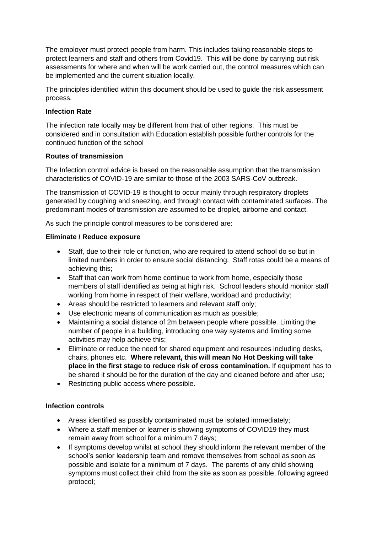The employer must protect people from harm. This includes taking reasonable steps to protect learners and staff and others from Covid19. This will be done by carrying out risk assessments for where and when will be work carried out, the control measures which can be implemented and the current situation locally.

The principles identified within this document should be used to guide the risk assessment process.

#### **Infection Rate**

The infection rate locally may be different from that of other regions. This must be considered and in consultation with Education establish possible further controls for the continued function of the school

## **Routes of transmission**

The Infection control advice is based on the reasonable assumption that the transmission characteristics of COVID-19 are similar to those of the 2003 SARS-CoV outbreak.

The transmission of COVID-19 is thought to occur mainly through respiratory droplets generated by coughing and sneezing, and through contact with contaminated surfaces. The predominant modes of transmission are assumed to be droplet, airborne and contact.

As such the principle control measures to be considered are:

## **Eliminate / Reduce exposure**

- Staff, due to their role or function, who are required to attend school do so but in limited numbers in order to ensure social distancing. Staff rotas could be a means of achieving this;
- Staff that can work from home continue to work from home, especially those members of staff identified as being at high risk. School leaders should monitor staff working from home in respect of their welfare, workload and productivity;
- Areas should be restricted to learners and relevant staff only;
- Use electronic means of communication as much as possible;
- Maintaining a social distance of 2m between people where possible. Limiting the number of people in a building, introducing one way systems and limiting some activities may help achieve this;
- Eliminate or reduce the need for shared equipment and resources including desks, chairs, phones etc. **Where relevant, this will mean No Hot Desking will take place in the first stage to reduce risk of cross contamination.** If equipment has to be shared it should be for the duration of the day and cleaned before and after use;
- Restricting public access where possible.

### **Infection controls**

- Areas identified as possibly contaminated must be isolated immediately;
- Where a staff member or learner is showing symptoms of COVID19 they must remain away from school for a minimum 7 days;
- If symptoms develop whilst at school they should inform the relevant member of the school's senior leadership team and remove themselves from school as soon as possible and isolate for a minimum of 7 days. The parents of any child showing symptoms must collect their child from the site as soon as possible, following agreed protocol;